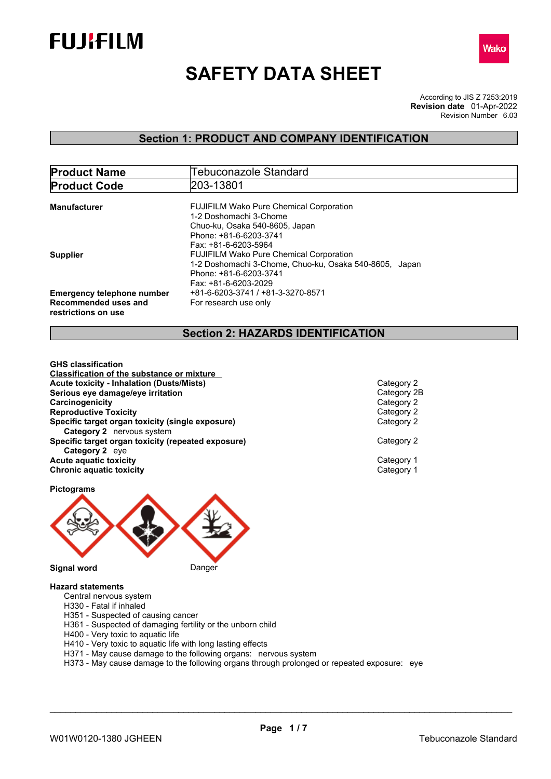



# **SAFETY DATA SHEET**

According to JIS Z 7253:2019 Revision Number 6.03 **Revision date** 01-Apr-2022

### **Section 1: PRODUCT AND COMPANY IDENTIFICATION**

| <b>Product Name</b>                                                              | Tebuconazole Standard                                                                                                                                      |  |  |
|----------------------------------------------------------------------------------|------------------------------------------------------------------------------------------------------------------------------------------------------------|--|--|
| <b>Product Code</b>                                                              | 203-13801                                                                                                                                                  |  |  |
| Manufacturer                                                                     | <b>FUJIFILM Wako Pure Chemical Corporation</b><br>1-2 Doshomachi 3-Chome                                                                                   |  |  |
|                                                                                  | Chuo-ku, Osaka 540-8605, Japan<br>Phone: +81-6-6203-3741<br>Fax: +81-6-6203-5964                                                                           |  |  |
| <b>Supplier</b>                                                                  | <b>FUJIFILM Wako Pure Chemical Corporation</b><br>1-2 Doshomachi 3-Chome, Chuo-ku, Osaka 540-8605, Japan<br>Phone: +81-6-6203-3741<br>Fax: +81-6-6203-2029 |  |  |
| <b>Emergency telephone number</b><br>Recommended uses and<br>restrictions on use | +81-6-6203-3741 / +81-3-3270-8571<br>For research use only                                                                                                 |  |  |

### **Section 2: HAZARDS IDENTIFICATION**

**GHS classification Classification of the substance or mixture Acute toxicity - Inhalation (Dusts/Mists)**<br> **Serious eve damage/eve irritation**<br>
Category 2B **Serious eye damage/eye irritation**<br> **Category 2**<br> **Category 2**<br> **Category 2 Carcinogenicity Reproductive Toxicity**<br> **Specific target organ toxicity (single exposure)**<br>
Category 2 **Specific target organ toxicity (single exposure) Category 2** nervous system **Specific target organ toxicity (repeated exposure)** Category 2 **Category 2** eye **Acute aquatic toxicity**<br> **Category 1**<br> **Category 1**<br> **Category 1 Chronic aquatic toxicity** 

**Pictograms**



- **Hazard statements**
	- Central nervous system
	- H330 Fatal if inhaled
	- H351 Suspected of causing cancer
	- H361 Suspected of damaging fertility or the unborn child
	- H400 Very toxic to aquatic life
	- H410 Very toxic to aquatic life with long lasting effects
	- H371 May cause damage to the following organs: nervous system
	- H373 May cause damage to the following organs through prolonged or repeated exposure: eye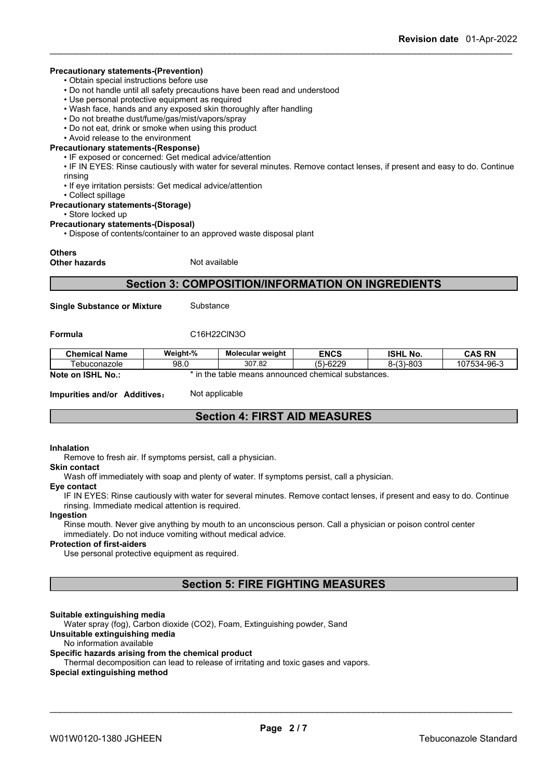#### **Precautionary statements-(Prevention)**

• Obtain special instructions before use

- Do not handle until all safety precautions have been read and understood
- Use personal protective equipment as required
- Wash face, hands and any exposed skin thoroughly after handling
- Do not breathe dust/fume/gas/mist/vapors/spray
- Do not eat, drink or smoke when using this product

### • Avoid release to the environment

### **Precautionary statements-(Response)**

• IF exposed or concerned: Get medical advice/attention

- IF IN EYES: Rinse cautiously with water for several minutes. Remove contact lenses, if present and easy to do. Continue rinsing
- If eye irritation persists: Get medical advice/attention
- Collect spillage

#### **Precautionary statements-(Storage)**

• Store locked up

#### **Precautionary statements-(Disposal)**

• Dispose of contents/container to an approved waste disposal plant

#### **Others**

**Other hazards** Not available

### **Section 3: COMPOSITION/INFORMATION ON INGREDIENTS**

**Single Substance or Mixture** Substance

#### **Formula** C16H22ClN3O

| <b>Chemical Name</b>                       | Weight-%                                                                 | Molecular weight | <b>ENCS</b>                                        | <b>ISHL</b><br>No. | <b>CAS RN</b> |
|--------------------------------------------|--------------------------------------------------------------------------|------------------|----------------------------------------------------|--------------------|---------------|
| l ebuconazole                              | 98.0                                                                     | 307.82           | 0.6220<br>$\left(\mathbf{r}\right)$<br>י כ<br>OZZ. | 8-(3)-803          | 107534-96-3   |
| <b>Note</b><br><b>ISHL</b><br>์ No<br>. on | , the<br>d chemical substances.<br>↑ means announced <b>、</b><br>: table |                  |                                                    |                    |               |

**Impurities and/or Additives:** Not applicable

### **Section 4: FIRST AID MEASURES**

#### **Inhalation**

Remove to fresh air. If symptoms persist, call a physician.

#### **Skin contact**

Wash off immediately with soap and plenty of water. If symptoms persist, calla physician.

#### **Eye contact**

IF IN EYES: Rinse cautiously with water for several minutes. Remove contact lenses, if present and easy to do. Continue rinsing. Immediate medical attention is required.

#### **Ingestion**

Rinse mouth. Never give anything by mouth to an unconscious person. Call a physician or poison control center immediately. Do not induce vomiting without medical advice.

#### **Protection of first-aiders**

Use personal protective equipment as required.

### **Section 5: FIRE FIGHTING MEASURES**

### **Suitable extinguishing media**

Water spray (fog), Carbon dioxide (CO2), Foam, Extinguishing powder, Sand

### **Unsuitable extinguishing media**

#### No information available

#### **Specific hazards arising from the chemical product**

Thermal decomposition can lead to release of irritating and toxic gases and vapors.

#### **Special extinguishing method**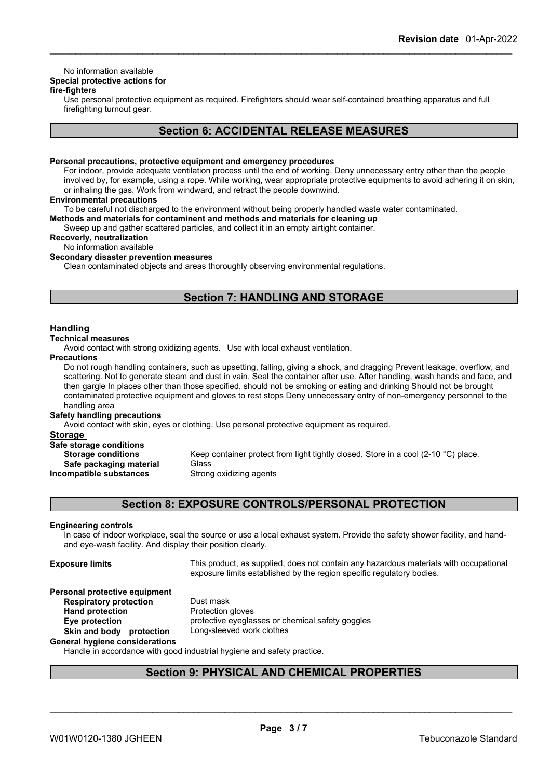### No information available

### **Special protective actions for**

### **fire-fighters**

Use personal protective equipment as required.Firefighters should wear self-contained breathing apparatus and full firefighting turnout gear.

### **Section 6: ACCIDENTAL RELEASE MEASURES**

#### **Personal precautions, protective equipment and emergency procedures**

For indoor, provide adequate ventilation process until the end of working. Deny unnecessary entry other than the people involved by, for example, using a rope. While working, wear appropriate protective equipments to avoid adhering it on skin, or inhaling the gas. Work from windward, and retract the people downwind.

#### **Environmental precautions**

To be careful not discharged to the environment without being properly handled waste water contaminated.

**Methods and materials for contaminent and methods and materials for cleaning up**

Sweep up and gather scattered particles, and collect it in an empty airtight container.

### **Recoverly, neutralization**

No information available

### **Secondary disaster prevention measures**

Clean contaminated objects and areas thoroughly observing environmental regulations.

### **Section 7: HANDLING AND STORAGE**

### **Handling**

### **Technical measures**

Avoid contact with strong oxidizing agents. Use with local exhaust ventilation.

#### **Precautions**

Do not rough handling containers, such as upsetting, falling, giving a shock, and dragging Prevent leakage, overflow, and scattering. Not to generate steam and dust in vain. Seal the container after use. After handling, wash hands and face, and then gargle In places other than those specified, should not be smoking or eating and drinking Should not be brought contaminated protective equipment and gloves to rest stops Deny unnecessary entry of non-emergency personnel to the handling area

#### **Safety handling precautions**

Avoid contact with skin, eyes or clothing. Use personal protective equipment as required.

#### **Storage**

| Safe storage conditions   |                             |
|---------------------------|-----------------------------|
| <b>Storage conditions</b> | Keep container protect fron |
| Safe packaging material   | Glass                       |
| Incompatible substances   | Strong oxidizing agents     |

eep container protect from light tightly closed. Store in a cool (2-10 °C) place. **Incompatible** Strong oxidizing agents

### **Section 8: EXPOSURE CONTROLS/PERSONAL PROTECTION**

#### **Engineering controls**

In case of indoor workplace, seal the source or use a local exhaust system. Provide the safety shower facility, and handand eye-wash facility. And display their position clearly.

**Hand** protection

**Exposure limits** This product, as supplied, does not contain any hazardous materials with occupational exposure limits established by the region specific regulatory bodies.

\_\_\_\_\_\_\_\_\_\_\_\_\_\_\_\_\_\_\_\_\_\_\_\_\_\_\_\_\_\_\_\_\_\_\_\_\_\_\_\_\_\_\_\_\_\_\_\_\_\_\_\_\_\_\_\_\_\_\_\_\_\_\_\_\_\_\_\_\_\_\_\_\_\_\_\_\_\_\_\_\_\_\_\_\_\_\_\_\_\_

# **Personal protective equipment**

**Respiratory protection** Dust mask<br> **Hand protection**<br> **Protection gloves Eye protection** protective eyeglasses or chemical safety goggles **Skin and body protection** Long-sleeved work clothes

### **General hygiene considerations**

Handle in accordance with good industrial hygiene and safety practice.

### **Section 9: PHYSICAL AND CHEMICAL PROPERTIES**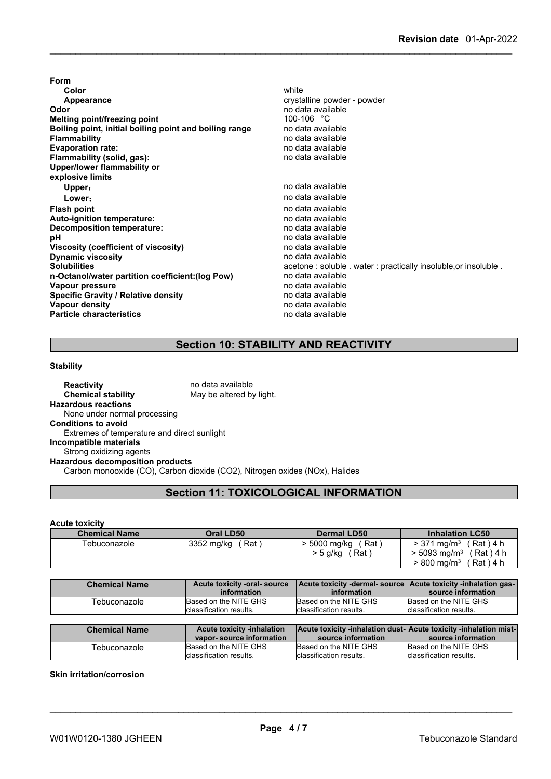| Form                                                   |                                                              |
|--------------------------------------------------------|--------------------------------------------------------------|
| Color                                                  | white                                                        |
| Appearance                                             | crystalline powder - powder                                  |
| Odor                                                   | no data available                                            |
| <b>Melting point/freezing point</b>                    | 100-106 $^{\circ}$ C                                         |
| Boiling point, initial boiling point and boiling range | no data available                                            |
| <b>Flammability</b>                                    | no data available                                            |
| <b>Evaporation rate:</b>                               | no data available                                            |
| Flammability (solid, gas):                             | no data available                                            |
| Upper/lower flammability or                            |                                                              |
| explosive limits                                       |                                                              |
| Upper:                                                 | no data available                                            |
| Lower:                                                 | no data available                                            |
| <b>Flash point</b>                                     | no data available                                            |
| Auto-ignition temperature:                             | no data available                                            |
| Decomposition temperature:                             | no data available                                            |
| рH                                                     | no data available                                            |
| Viscosity (coefficient of viscosity)                   | no data available                                            |
| <b>Dynamic viscosity</b>                               | no data available                                            |
| <b>Solubilities</b>                                    | acetone: soluble water: practically insoluble, or insoluble. |
| n-Octanol/water partition coefficient: (log Pow)       | no data available                                            |
| Vapour pressure                                        | no data available                                            |
| <b>Specific Gravity / Relative density</b>             | no data available                                            |
| <b>Vapour density</b>                                  | no data available                                            |
| <b>Particle characteristics</b>                        | no data available                                            |
|                                                        |                                                              |

## **Section 10: STABILITY AND REACTIVITY**

### **Stability**

**Reactivity** no data available<br> **Chemical stability** May be altered by May be altered by light. **Hazardous reactions** None under normal processing **Conditions to avoid** Extremes of temperature and direct sunlight **Incompatible materials** Strong oxidizing agents **Hazardous decomposition products** Carbon monooxide (CO), Carbon dioxide (CO2), Nitrogen oxides (NOx), Halides

### **Section 11: TOXICOLOGICAL INFORMATION**

### **Acute toxicity**

| <b>Chemical Name</b> | Oral LD50         | <b>Dermal LD50</b>  | <b>Inhalation LC50</b>                    |
|----------------------|-------------------|---------------------|-------------------------------------------|
| Tebuconazole         | Rat<br>3352 mg/kg | > 5000 mg/kg<br>Rat | (Rat)4 h<br>$> 371 \text{ ma/m}^3$        |
|                      |                   | ′ Rat<br>> 5 g/kg   | $> 5093$ ma/m <sup>3</sup><br>$(Rat)$ 4 h |
|                      |                   |                     | $>800$ mg/m $^3$<br>(Rat)4 h              |

| <b>Chemical Name</b> | Acute toxicity -oral-source | Acute toxicity -dermal- source   Acute toxicity -inhalation gas- |                          |
|----------------------|-----------------------------|------------------------------------------------------------------|--------------------------|
|                      | information                 | information                                                      | source information       |
| Tebuconazole         | Based on the NITE GHS       | Based on the NITE GHS                                            | Based on the NITE GHS    |
|                      | classification results.     | classification results.                                          | Iclassification results. |

| <b>Chemical Name</b> | <b>Acute toxicity -inhalation</b> | <b>Acute toxicity -inhalation dust-Acute toxicity -inhalation mist-</b> |                          |
|----------------------|-----------------------------------|-------------------------------------------------------------------------|--------------------------|
|                      | vapor-source information          | source information                                                      | source information       |
| Tebuconazole         | Based on the NITE GHS             | Based on the NITE GHS                                                   | Based on the NITE GHS    |
|                      | Iclassification results.          | Iclassification results.                                                | Iclassification results. |

### **Skin irritation/corrosion**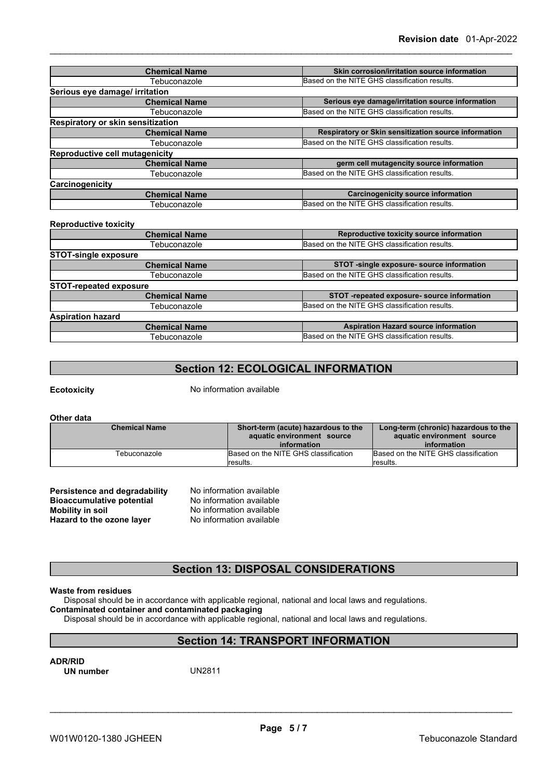| <b>Chemical Name</b>                  | Skin corrosion/irritation source information         |
|---------------------------------------|------------------------------------------------------|
| Tebuconazole                          | Based on the NITE GHS classification results.        |
| Serious eye damage/ irritation        |                                                      |
| <b>Chemical Name</b>                  | Serious eye damage/irritation source information     |
| Tebuconazole                          | Based on the NITE GHS classification results.        |
| Respiratory or skin sensitization     |                                                      |
| <b>Chemical Name</b>                  | Respiratory or Skin sensitization source information |
| Tebuconazole                          | Based on the NITE GHS classification results.        |
| <b>Reproductive cell mutagenicity</b> |                                                      |
| <b>Chemical Name</b>                  | germ cell mutagencity source information             |
| Tebuconazole                          | Based on the NITE GHS classification results.        |
| Carcinogenicity                       |                                                      |
| <b>Chemical Name</b>                  | <b>Carcinogenicity source information</b>            |
| Tebuconazole                          | Based on the NITE GHS classification results.        |

#### **Reproductive toxicity**

| <b>Chemical Name</b>          | Reproductive toxicity source information      |
|-------------------------------|-----------------------------------------------|
| Tebuconazole                  | Based on the NITE GHS classification results. |
| <b>STOT-single exposure</b>   |                                               |
| <b>Chemical Name</b>          | STOT -single exposure- source information     |
| Tebuconazole                  | Based on the NITE GHS classification results. |
| <b>STOT-repeated exposure</b> |                                               |
| <b>Chemical Name</b>          | STOT -repeated exposure- source information   |
| Tebuconazole                  | Based on the NITE GHS classification results. |
| <b>Aspiration hazard</b>      |                                               |
| <b>Chemical Name</b>          | <b>Aspiration Hazard source information</b>   |
| Tebuconazole                  | Based on the NITE GHS classification results. |
|                               |                                               |

### **Section 12: ECOLOGICAL INFORMATION**

**Ecotoxicity** No information available

**Other data**

| <b>Chemical Name</b> | Short-term (acute) hazardous to the<br>aquatic environment source<br>information | Long-term (chronic) hazardous to the<br>aquatic environment source<br>information |
|----------------------|----------------------------------------------------------------------------------|-----------------------------------------------------------------------------------|
| Tebuconazole         | Based on the NITE GHS classification<br>lresults.                                | Based on the NITE GHS classification<br>results.                                  |

| Persistence and degradability    | No information available |
|----------------------------------|--------------------------|
| <b>Bioaccumulative potential</b> | No information available |
| Mobility in soil                 | No information available |
| Hazard to the ozone layer        | No information available |

### **Section 13: DISPOSAL CONSIDERATIONS**

### **Waste from residues**

Disposal should be in accordance with applicable regional, national and local laws and regulations.

### **Contaminated container and contaminated packaging**

Disposal should be in accordance with applicable regional, national and local laws and regulations.

### **Section 14: TRANSPORT INFORMATION**

**ADR/RID**<br> **UN number** UN2811 **UN** number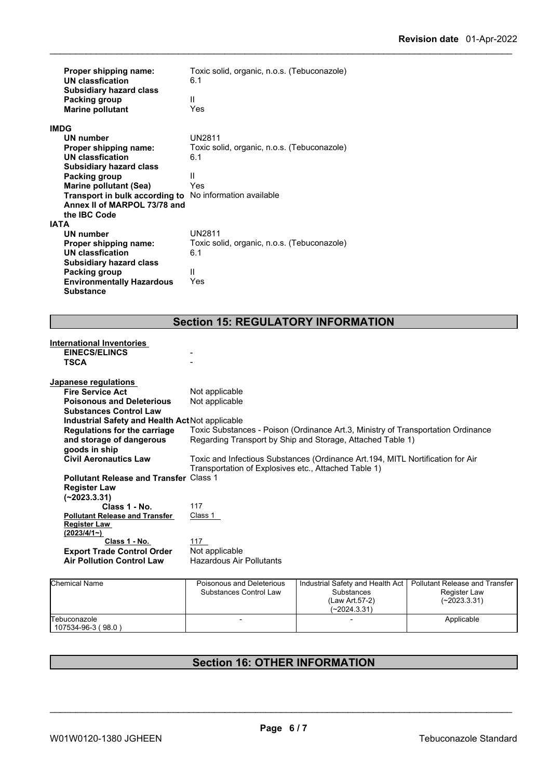| Proper shipping name:                                   | Toxic solid, organic, n.o.s. (Tebuconazole)                                      |
|---------------------------------------------------------|----------------------------------------------------------------------------------|
| <b>UN classfication</b>                                 | 6.1                                                                              |
| <b>Subsidiary hazard class</b>                          |                                                                                  |
| Packing group                                           | Ш                                                                                |
| <b>Marine pollutant</b>                                 | Yes                                                                              |
| <b>IMDG</b>                                             |                                                                                  |
| <b>UN number</b>                                        | UN2811                                                                           |
| Proper shipping name:                                   | Toxic solid, organic, n.o.s. (Tebuconazole)                                      |
| <b>UN classfication</b>                                 | 6.1                                                                              |
| <b>Subsidiary hazard class</b>                          |                                                                                  |
| <b>Packing group</b>                                    | Ш                                                                                |
| <b>Marine pollutant (Sea)</b>                           | Yes                                                                              |
| Transport in bulk according to No information available |                                                                                  |
| Annex II of MARPOL 73/78 and                            |                                                                                  |
| the IBC Code                                            |                                                                                  |
| <b>IATA</b>                                             |                                                                                  |
| UN number                                               | <b>UN2811</b>                                                                    |
| Proper shipping name:                                   | Toxic solid, organic, n.o.s. (Tebuconazole)                                      |
| <b>UN classfication</b>                                 | 6.1                                                                              |
| <b>Subsidiary hazard class</b>                          |                                                                                  |
| Packing group                                           | Ш                                                                                |
| <b>Environmentally Hazardous</b>                        | Yes                                                                              |
| <b>Substance</b>                                        |                                                                                  |
|                                                         |                                                                                  |
|                                                         |                                                                                  |
|                                                         | <b>Section 15: REGULATORY INFORMATION</b>                                        |
|                                                         |                                                                                  |
| <b>International Inventories</b>                        |                                                                                  |
| <b>EINECS/ELINCS</b>                                    |                                                                                  |
| <b>TSCA</b>                                             |                                                                                  |
|                                                         |                                                                                  |
| Japanese regulations<br><b>Fire Service Act</b>         | Not applicable                                                                   |
| <b>Poisonous and Deleterious</b>                        |                                                                                  |
| <b>Substances Control Law</b>                           | Not applicable                                                                   |
|                                                         |                                                                                  |
| Industrial Safety and Health Act Not applicable         | Toxic Substances - Poison (Ordinance Art.3, Ministry of Transportation Ordinance |
| <b>Regulations for the carriage</b>                     | Regarding Transport by Ship and Storage, Attached Table 1)                       |
| and storage of dangerous                                |                                                                                  |
| goods in ship                                           |                                                                                  |
| <b>Civil Aeronautics Law</b>                            | Toxic and Infectious Substances (Ordinance Art.194, MITL Nortification for Air   |
|                                                         | Transportation of Explosives etc., Attached Table 1)                             |
| <b>Pollutant Release and Transfer Class 1</b>           |                                                                                  |

Table 1) **MITL Nortification for Air** Transportation of Explosives etc., Attached Table 1) **Pollutant Release and Transfer Register Law (~2023.3.31)** Class 1 **Class 1 - No.** 117 **Pollutant Release and Transfer Register Law (2023/4/1~)** Class 1 **Class 1 - No.**<br> **Ade Control Order** Not applicable **Export Trade Control Order** Not applicable<br> **Air Pollution Control Law** Hazardous Air Pollutants **Air Pollution Control Law** 

| <b>Chemical Name</b> | Poisonous and Deleterious | Industrial Safety and Health Act   Pollutant Release and Transfer |                |  |
|----------------------|---------------------------|-------------------------------------------------------------------|----------------|--|
|                      | Substances Control Law    | Substances                                                        | Register Law   |  |
|                      |                           | (Law Art.57-2)                                                    | $(-2023.3.31)$ |  |
|                      |                           | $(-2024.3.31)$                                                    |                |  |
| Tebuconazole         |                           |                                                                   | Applicable     |  |
| 107534-96-3 (98.0)   |                           |                                                                   |                |  |

### **Section 16: OTHER INFORMATION**

\_\_\_\_\_\_\_\_\_\_\_\_\_\_\_\_\_\_\_\_\_\_\_\_\_\_\_\_\_\_\_\_\_\_\_\_\_\_\_\_\_\_\_\_\_\_\_\_\_\_\_\_\_\_\_\_\_\_\_\_\_\_\_\_\_\_\_\_\_\_\_\_\_\_\_\_\_\_\_\_\_\_\_\_\_\_\_\_\_\_